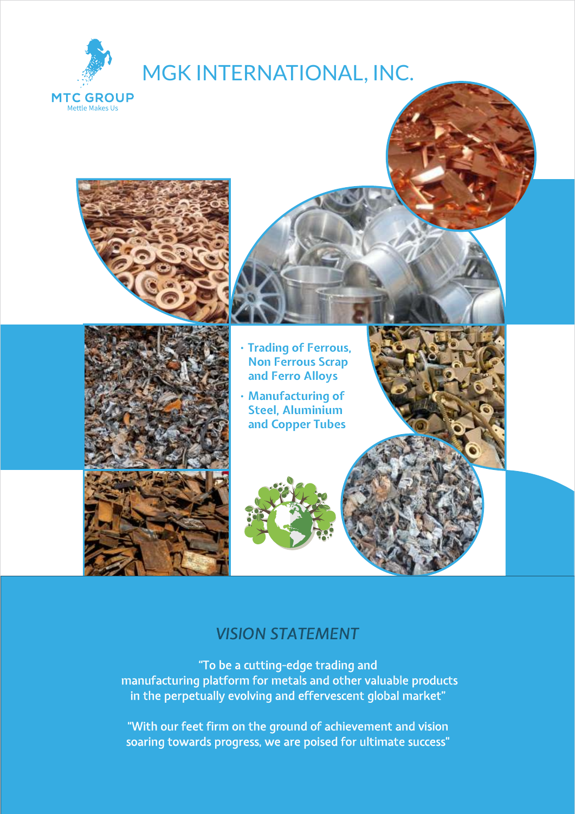



**MTC GROUP Mettle Makes Us** 



#### **• Trading of Ferrous, Non Ferrous Scrap and Ferro Alloys**

**• Manufacturing of Steel, Aluminium and Copper Tubes**



### *VISION STATEMENT*

"To be a cutting-edge trading and manufacturing platform for metals and other valuable products in the perpetually evolving and effervescent global market"

"With our feet firm on the ground of achievement and vision soaring towards progress, we are poised for ultimate success"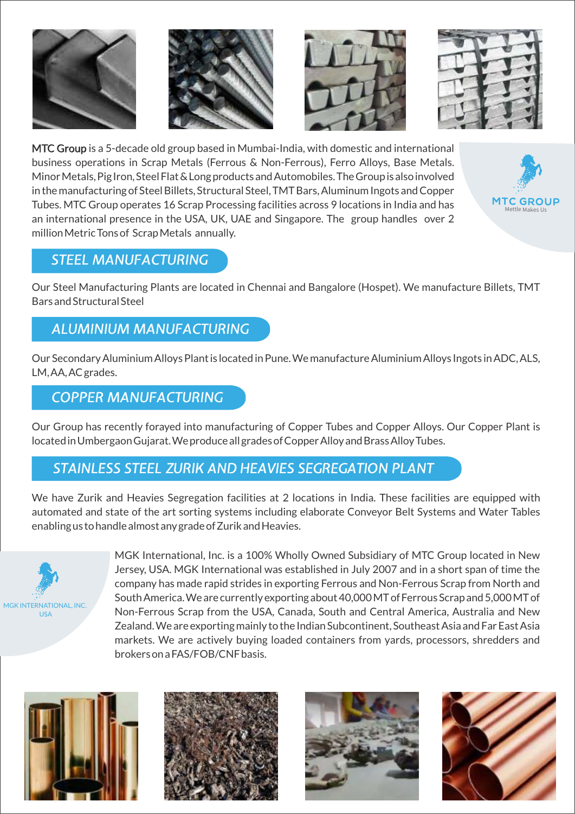







*MTC Group* is a 5-decade old group based in Mumbai-India, with domestic and international business operations in Scrap Metals (Ferrous & Non-Ferrous), Ferro Alloys, Base Metals. Minor Metals, Pig Iron, Steel Flat & Long products and Automobiles. The Group is also involved in the manufacturing of Steel Billets, Structural Steel, TMT Bars, Aluminum Ingots and Copper Tubes. MTC Group operates 16 Scrap Processing facilities across 9 locations in India and has an international presence in the USA, UK, UAE and Singapore. The group handles over 2 million Metric Tons of Scrap Metals annually.



### *STEEL MANUFACTURING*

Our Steel Manufacturing Plants are located in Chennai and Bangalore (Hospet). We manufacture Billets, TMT Bars and Structural Steel

### *ALUMINIUM MANUFACTURING*

Our Secondary Aluminium Alloys Plant is located in Pune. We manufacture Aluminium Alloys Ingots in ADC, ALS, LM, AA, AC grades.

### *COPPER MANUFACTURING*

Our Group has recently forayed into manufacturing of Copper Tubes and Copper Alloys. Our Copper Plant is located in Umbergaon Gujarat. We produce all grades of Copper Alloy and Brass Alloy Tubes.

### *STAINLESS STEEL ZURIK AND HEAVIES SEGREGATION PLANT*

We have Zurik and Heavies Segregation facilities at 2 locations in India. These facilities are equipped with automated and state of the art sorting systems including elaborate Conveyor Belt Systems and Water Tables enabling us to handle almost any grade of Zurik and Heavies.



*MGK International, Inc.* is a 100% Wholly Owned Subsidiary of MTC Group located in New Jersey, USA. MGK International was established in July 2007 and in a short span of time the company has made rapid strides in exporting Ferrous and Non-Ferrous Scrap from North and South America. We are currently exporting about 40,000 MT of Ferrous Scrap and 5,000 MT of Non-Ferrous Scrap from the USA, Canada, South and Central America, Australia and New Zealand. We are exporting mainly to the Indian Subcontinent, Southeast Asia and Far East Asia markets. We are actively buying loaded containers from yards, processors, shredders and brokers on a FAS/FOB/CNF basis.







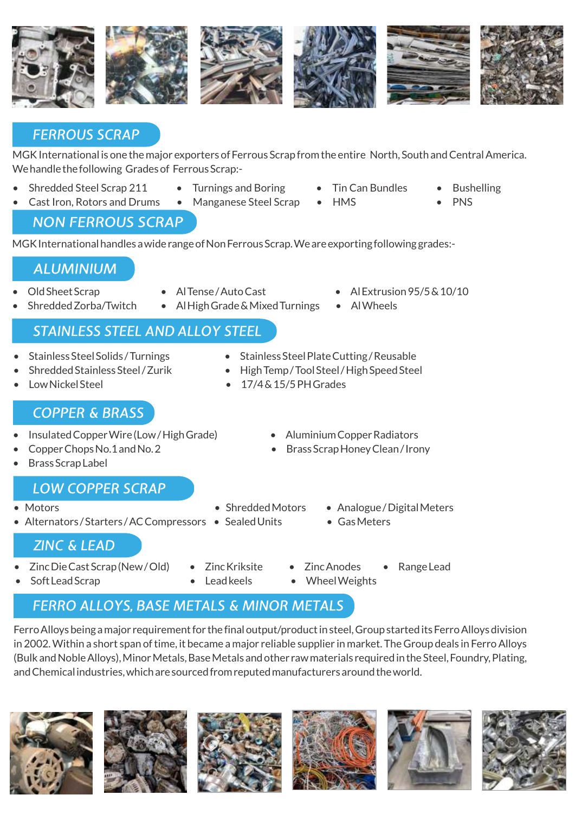

### *FERROUS SCRAP*

MGK International is one the major exporters of Ferrous Scrap from the entire North, South and Central America. We handle the following Grades of Ferrous Scrap:-

- Shredded Steel Scrap 211 Turnings and Boring Tin Can Bundles Bushelling
- Cast Iron, Rotors and Drums Manganese Steel Scrap HMS PNS

#### *NON FERROUS SCRAP*

MGK International handles a wide range of Non Ferrous Scrap. We are exporting following grades:-

### *ALUMINIUM*

- 
- Old Sheet Scrap Al Tense / Auto Cast Al Extrusion 95/5 & 10/10
	- Shredded Zorba/Twitch Al High Grade & Mixed Turnings Al Wheels

# *STAINLESS STEEL AND ALLOY STEEL*

- Stainless Steel Solids / Turnings Stainless Steel Plate Cutting / Reusable
- Shredded Stainless Steel / Zurik High Temp / Tool Steel / High Speed Steel
- Low Nickel Steel  **17/4 & 15/5 PH Grades**

### *COPPER & BRASS*

- Insulated Copper Wire (Low / High Grade) Aluminium Copper Radiators
- 
- Brass Scrap Label

### *LOW COPPER SCRAP*

- 
- Alternators/Starters/AC Compressors Sealed Units Gas Meters
- -
- 
- Copper Chops No.1 and No. 2 Brass Scrap Honey Clean / Irony
- Motors Shredded Motors Analogue / Digital Meters
	-

# *ZINC & LEAD*

- Zinc Die Cast Scrap (New / Old) Zinc Kriksite Zinc Anodes Range Lead
- 
- 
- 
- 
- Soft Lead Scrap Lead keels Wheel Weights

# **FERRO ALLOYS, BASE METALS & MINOR METALS**

Ferro Alloys being a major requirement for the final output/product in steel, Group started its Ferro Alloys division in 2002. Within a short span of time, it became a major reliable supplier in market. The Group deals in Ferro Alloys (Bulk and Noble Alloys), Minor Metals, Base Metals and other raw materials required in the Steel, Foundry, Plating, and Chemical industries, which are sourced from reputed manufacturers around the world.













- 
- 
- 
- 
-